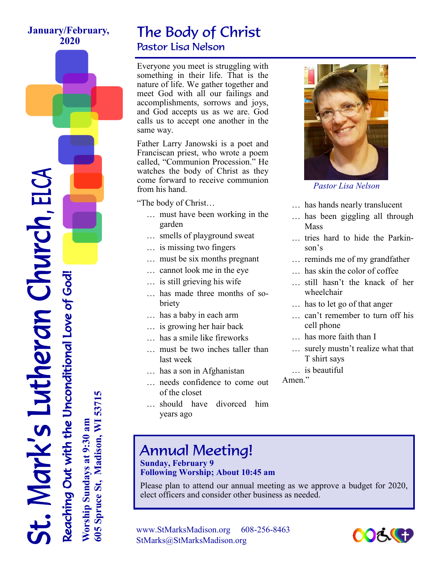#### **January/February, 2020**

### The Body of Christ Pastor Lisa Nelson

Everyone you meet is struggling with something in their life. That is the nature of life. We gather together and meet God with all our failings and accomplishments, sorrows and joys, and God accepts us as we are. God calls us to accept one another in the same way.

Father Larry Janowski is a poet and Franciscan priest, who wrote a poem called, "Communion Procession." He watches the body of Christ as they come forward to receive communion from his hand.

"The body of Christ…

- ... must have been working in the garden
- ... smells of playground sweat
- ... is missing two fingers
- ... must be six months pregnant
- ... cannot look me in the eye
- ... is still grieving his wife
- ... has made three months of sobriety
- ... has a baby in each arm
- ... is growing her hair back
- has a smile like fireworks
- must be two inches taller than last week
- ... has a son in Afghanistan
- ... needs confidence to come out of the closet
- ... should have divorced him years ago



*Pastor Lisa Nelson* 

- ... has hands nearly translucent
- ... has been giggling all through Mass
- ... tries hard to hide the Parkinson's
- ... reminds me of my grandfather
- ... has skin the color of coffee
- ... still hasn't the knack of her wheelchair
- ... has to let go of that anger
- ... can't remember to turn off his cell phone
- has more faith than I
- ... surely mustn't realize what that T shirt says
- ... is beautiful

Amen."

## Annual Meeting!

#### **Sunday, February 9 Following Worship; About 10:45 am**

Please plan to attend our annual meeting as we approve a budget for 2020, elect officers and consider other business as needed.

www.StMarksMadison.org 608-256-8463 StMarks@StMarksMadison.org



.. Mark's Lutheran Church, ELCA Reaching Out with the Unconditional Love of God! **Worship Sundays at 9:30 am** Reaching Out with the Unconditional Love of God!

605 Spruce St, Madison, WI 53715 **605 Spruce St, Madison, WI 53715** Worship Sundays at 9:30 am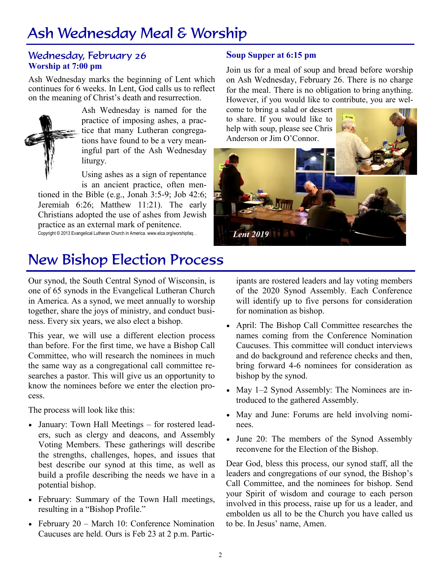# Ash Wednesday Meal & Worship

#### Wednesday, February 26 **Worship at 7:00 pm**

Ash Wednesday marks the beginning of Lent which continues for 6 weeks. In Lent, God calls us to reflect on the meaning of Christ's death and resurrection.



Ash Wednesday is named for the practice of imposing ashes, a practice that many Lutheran congregations have found to be a very meaningful part of the Ash Wednesday liturgy.

Using ashes as a sign of repentance is an ancient practice, often men-

tioned in the Bible (e.g., Jonah 3:5-9; Job 42:6; Jeremiah 6:26; Matthew 11:21). The early Christians adopted the use of ashes from Jewish practice as an external mark of penitence. Copyright © 2013 Evangelical Lutheran Church in America. www.elca.org/worshipfaq. .

#### **Soup Supper at 6:15 pm**

Join us for a meal of soup and bread before worship on Ash Wednesday, February 26. There is no charge for the meal. There is no obligation to bring anything. However, if you would like to contribute, you are wel-

come to bring a salad or dessert to share. If you would like to help with soup, please see Chris Anderson or Jim O'Connor.



### New Bishop Election Process

Our synod, the South Central Synod of Wisconsin, is one of 65 synods in the Evangelical Lutheran Church in America. As a synod, we meet annually to worship together, share the joys of ministry, and conduct business. Every six years, we also elect a bishop.

This year, we will use a different election process than before. For the first time, we have a Bishop Call Committee, who will research the nominees in much the same way as a congregational call committee researches a pastor. This will give us an opportunity to know the nominees before we enter the election process.

The process will look like this:

- January: Town Hall Meetings for rostered leaders, such as clergy and deacons, and Assembly Voting Members. These gatherings will describe the strengths, challenges, hopes, and issues that best describe our synod at this time, as well as build a profile describing the needs we have in a potential bishop.
- February: Summary of the Town Hall meetings, resulting in a "Bishop Profile."
- February 20 March 10: Conference Nomination Caucuses are held. Ours is Feb 23 at 2 p.m. Partic-

ipants are rostered leaders and lay voting members of the 2020 Synod Assembly. Each Conference will identify up to five persons for consideration for nomination as bishop.

- April: The Bishop Call Committee researches the names coming from the Conference Nomination Caucuses. This committee will conduct interviews and do background and reference checks and then, bring forward 4-6 nominees for consideration as bishop by the synod.
- May 1–2 Synod Assembly: The Nominees are introduced to the gathered Assembly.
- May and June: Forums are held involving nominees.
- June 20: The members of the Synod Assembly reconvene for the Election of the Bishop.

Dear God, bless this process, our synod staff, all the leaders and congregations of our synod, the Bishop's Call Committee, and the nominees for bishop. Send your Spirit of wisdom and courage to each person involved in this process, raise up for us a leader, and embolden us all to be the Church you have called us to be. In Jesus' name, Amen.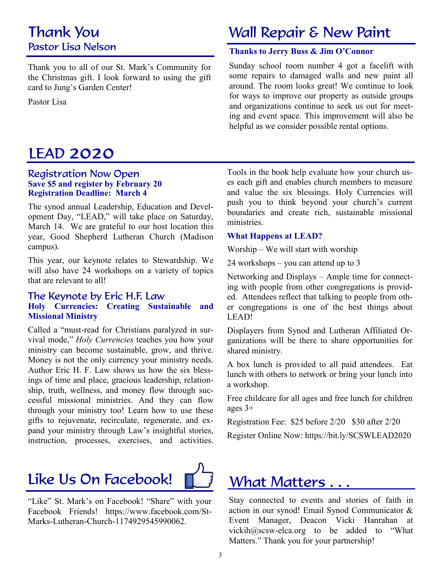### Thank You Pastor Lisa Nelson

Thank you to all of our St. Mark's Community for the Christmas gift. I look forward to using the gift card to Jung's Garden Center!

Pastor Lisa

## LEAD 2020

#### Registration Now Open **Save \$5 and register by February 20 Registration Deadline: March 4**

The synod annual Leadership, Education and Development Day, "LEAD," will take place on Saturday, March 14. We are grateful to our host location this year, Good Shepherd Lutheran Church (Madison campus).

This year, our keynote relates to Stewardship. We will also have 24 workshops on a variety of topics that are relevant to all!

#### The Keynote by Eric H.F. Law **Holy Currencies: Creating Sustainable and Missional Ministry**

Called a "must-read for Christians paralyzed in survival mode," *Holy Currencies* teaches you how your ministry can become sustainable, grow, and thrive. Money is not the only currency your ministry needs. Author Eric H. F. Law shows us how the six blessings of time and place, gracious leadership, relationship, truth, wellness, and money flow through successful missional ministries. And they can flow through your ministry too! Learn how to use these gifts to rejuvenate, recirculate, regenerate, and expand your ministry through Law's insightful stories, instruction, processes, exercises, and activities.

# Like Us On Facebook!



"Like" St. Mark's on Facebook! "Share" with your Facebook Friends! [https://www.facebook.com/St-](https://www.facebook.com/St-Marks-Lutheran-Church-1174929545990062.)[Marks-Lutheran-Church-1174929545990062.](https://www.facebook.com/St-Marks-Lutheran-Church-1174929545990062.)

## Wall Repair & New Paint

#### **Thanks to Jerry Buss & Jim O'Connor**

Sunday school room number 4 got a facelift with some repairs to damaged walls and new paint all around. The room looks great! We continue to look for ways to improve our property as outside groups and organizations continue to seek us out for meeting and event space. This improvement will also be helpful as we consider possible rental options.

Tools in the book help evaluate how your church uses each gift and enables church members to measure and value the six blessings. Holy Currencies will push you to think beyond your church's current boundaries and create rich, sustainable missional ministries.

#### **What Happens at LEAD?**

Worship – We will start with worship

24 workshops – you can attend up to 3

Networking and Displays – Ample time for connecting with people from other congregations is provided. Attendees reflect that talking to people from other congregations is one of the best things about LEAD!

Displayers from Synod and Lutheran Affiliated Organizations will be there to share opportunities for shared ministry.

A box lunch is provided to all paid attendees. Eat lunch with others to network or bring your lunch into a workshop.

Free childcare for all ages and free lunch for children ages 3+

Registration Fee: \$25 before 2/20 \$30 after 2/20

Register Online Now: https://bit.ly/SCSWLEAD2020

## What Matters . . .

Stay connected to events and stories of faith in action in our synod! Email Synod Communicator & Event Manager, Deacon Vicki Hanrahan at vickih@scsw-elca.org to be added to "What Matters." Thank you for your partnership!